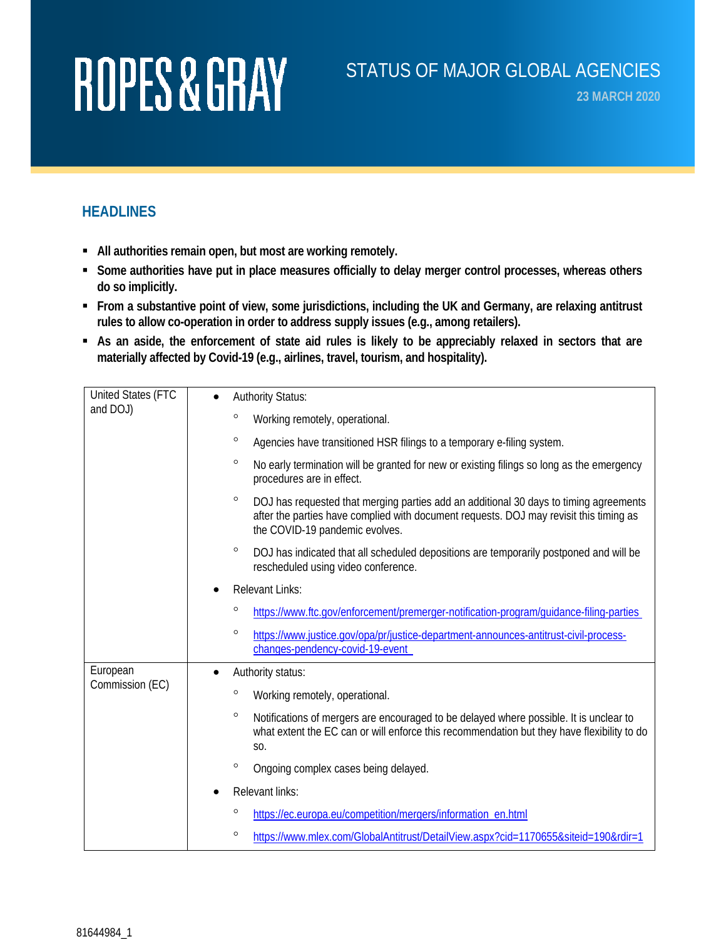#### STATUS OF MAJOR GLOBAL AGENCIES

**23 MARCH 2020**

#### **HEADLINES**

- **All authorities remain open, but most are working remotely.**
- **Some authorities have put in place measures officially to delay merger control processes, whereas others do so implicitly.**
- **From a substantive point of view, some jurisdictions, including the UK and Germany, are relaxing antitrust rules to allow co-operation in order to address supply issues (e.g., among retailers).**
- **As an aside, the enforcement of state aid rules is likely to be appreciably relaxed in sectors that are materially affected by Covid-19 (e.g., airlines, travel, tourism, and hospitality).**

| United States (FTC<br>and DOJ) | <b>Authority Status:</b>                                                                                                                                                                                                     |
|--------------------------------|------------------------------------------------------------------------------------------------------------------------------------------------------------------------------------------------------------------------------|
|                                | $\circ$<br>Working remotely, operational.                                                                                                                                                                                    |
|                                | $\circ$<br>Agencies have transitioned HSR filings to a temporary e-filing system.                                                                                                                                            |
|                                | $\circ$<br>No early termination will be granted for new or existing filings so long as the emergency<br>procedures are in effect.                                                                                            |
|                                | $\circ$<br>DOJ has requested that merging parties add an additional 30 days to timing agreements<br>after the parties have complied with document requests. DOJ may revisit this timing as<br>the COVID-19 pandemic evolves. |
|                                | $\circ$<br>DOJ has indicated that all scheduled depositions are temporarily postponed and will be<br>rescheduled using video conference.                                                                                     |
|                                | <b>Relevant Links:</b>                                                                                                                                                                                                       |
|                                | o<br>https://www.ftc.gov/enforcement/premerger-notification-program/guidance-filing-parties                                                                                                                                  |
|                                | $\circ$<br>https://www.justice.gov/opa/pr/justice-department-announces-antitrust-civil-process-<br>changes-pendency-covid-19-event                                                                                           |
| European<br>Commission (EC)    | Authority status:<br>$\bullet$                                                                                                                                                                                               |
|                                | $\circ$<br>Working remotely, operational.                                                                                                                                                                                    |
|                                | $\circ$<br>Notifications of mergers are encouraged to be delayed where possible. It is unclear to<br>what extent the EC can or will enforce this recommendation but they have flexibility to do<br>S0.                       |
|                                | $\circ$<br>Ongoing complex cases being delayed.                                                                                                                                                                              |
|                                | Relevant links:                                                                                                                                                                                                              |
|                                | $\circ$<br>https://ec.europa.eu/competition/mergers/information_en.html                                                                                                                                                      |
|                                | $\circ$<br>https://www.mlex.com/GlobalAntitrust/DetailView.aspx?cid=1170655&siteid=190&rdir=1                                                                                                                                |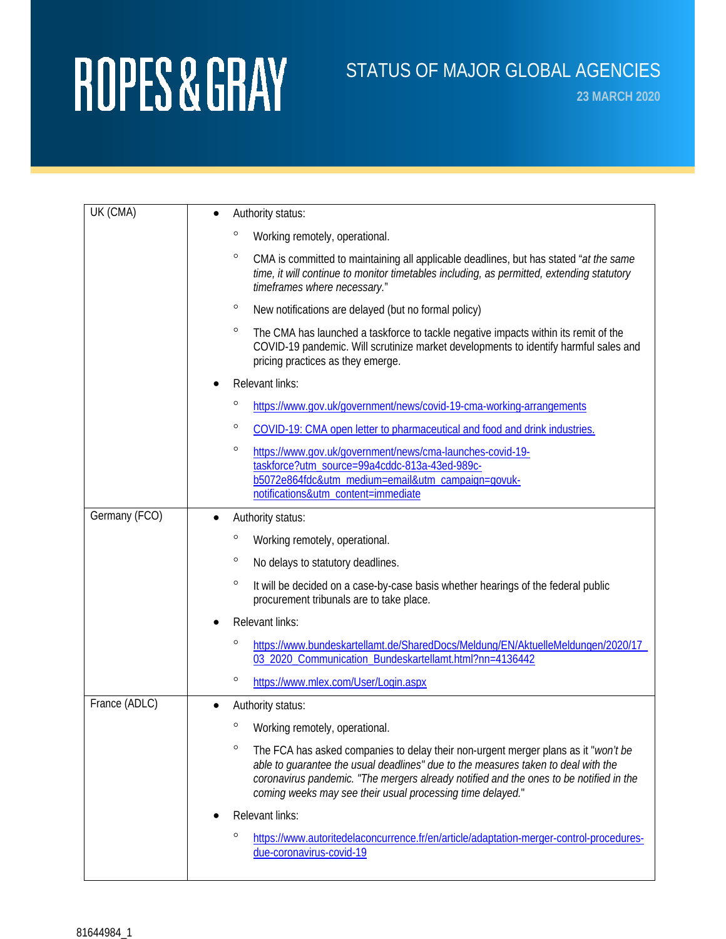### STATUS OF MAJOR GLOBAL AGENCIES

**23 MARCH 2020**

| UK (CMA)      | Authority status:                                                                                                                                                                                                                                                                                                                          |
|---------------|--------------------------------------------------------------------------------------------------------------------------------------------------------------------------------------------------------------------------------------------------------------------------------------------------------------------------------------------|
|               | o<br>Working remotely, operational.                                                                                                                                                                                                                                                                                                        |
|               | $\circ$<br>CMA is committed to maintaining all applicable deadlines, but has stated "at the same<br>time, it will continue to monitor timetables including, as permitted, extending statutory<br>timeframes where necessary."                                                                                                              |
|               | $\circ$<br>New notifications are delayed (but no formal policy)                                                                                                                                                                                                                                                                            |
|               | $\circ$<br>The CMA has launched a taskforce to tackle negative impacts within its remit of the<br>COVID-19 pandemic. Will scrutinize market developments to identify harmful sales and<br>pricing practices as they emerge.                                                                                                                |
|               | Relevant links:                                                                                                                                                                                                                                                                                                                            |
|               | o<br>https://www.gov.uk/government/news/covid-19-cma-working-arrangements                                                                                                                                                                                                                                                                  |
|               | $\circ$<br>COVID-19: CMA open letter to pharmaceutical and food and drink industries.                                                                                                                                                                                                                                                      |
|               | $\circ$<br>https://www.qov.uk/government/news/cma-launches-covid-19-<br>taskforce?utm_source=99a4cddc-813a-43ed-989c-<br>b5072e864fdc&utm_medium=email&utm_campaign=govuk-<br>notifications&utm_content=immediate                                                                                                                          |
| Germany (FCO) | Authority status:                                                                                                                                                                                                                                                                                                                          |
|               | $\circ$<br>Working remotely, operational.                                                                                                                                                                                                                                                                                                  |
|               | $\circ$<br>No delays to statutory deadlines.                                                                                                                                                                                                                                                                                               |
|               | $\circ$<br>It will be decided on a case-by-case basis whether hearings of the federal public<br>procurement tribunals are to take place.                                                                                                                                                                                                   |
|               | <b>Relevant links:</b>                                                                                                                                                                                                                                                                                                                     |
|               | o<br>https://www.bundeskartellamt.de/SharedDocs/Meldung/EN/AktuelleMeldungen/2020/17_<br>03 2020 Communication Bundeskartellamt.html?nn=4136442                                                                                                                                                                                            |
|               | $\circ$<br>https://www.mlex.com/User/Login.aspx                                                                                                                                                                                                                                                                                            |
| France (ADLC) | Authority status:                                                                                                                                                                                                                                                                                                                          |
|               | <sup>o</sup> Working remotely, operational.                                                                                                                                                                                                                                                                                                |
|               | $\circ$<br>The FCA has asked companies to delay their non-urgent merger plans as it "won't be<br>able to guarantee the usual deadlines" due to the measures taken to deal with the<br>coronavirus pandemic. "The mergers already notified and the ones to be notified in the<br>coming weeks may see their usual processing time delayed." |
|               | Relevant links:                                                                                                                                                                                                                                                                                                                            |
|               | $\circ$<br>https://www.autoritedelaconcurrence.fr/en/article/adaptation-merger-control-procedures-<br>due-coronavirus-covid-19                                                                                                                                                                                                             |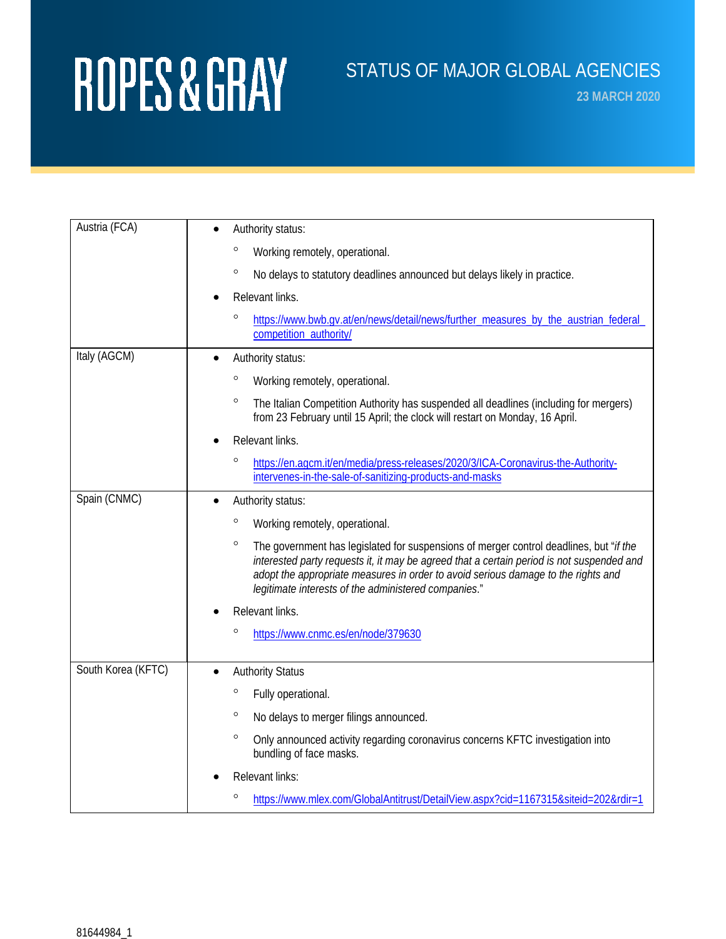### STATUS OF MAJOR GLOBAL AGENCIES

**23 MARCH 2020**

| Austria (FCA)      | Authority status:                                                                                                                                                                                                                                                                                                                           |
|--------------------|---------------------------------------------------------------------------------------------------------------------------------------------------------------------------------------------------------------------------------------------------------------------------------------------------------------------------------------------|
|                    | $\circ$<br>Working remotely, operational.                                                                                                                                                                                                                                                                                                   |
|                    | $\circ$<br>No delays to statutory deadlines announced but delays likely in practice.                                                                                                                                                                                                                                                        |
|                    | Relevant links.                                                                                                                                                                                                                                                                                                                             |
|                    | $\circ$<br>https://www.bwb.qv.at/en/news/detail/news/further_measures_by_the_austrian_federal_<br>competition authority/                                                                                                                                                                                                                    |
| Italy (AGCM)       | Authority status:<br>$\bullet$                                                                                                                                                                                                                                                                                                              |
|                    | $\circ$<br>Working remotely, operational.                                                                                                                                                                                                                                                                                                   |
|                    | $\circ$<br>The Italian Competition Authority has suspended all deadlines (including for mergers)<br>from 23 February until 15 April; the clock will restart on Monday, 16 April.                                                                                                                                                            |
|                    | Relevant links.                                                                                                                                                                                                                                                                                                                             |
|                    | $\circ$<br>https://en.agcm.it/en/media/press-releases/2020/3/ICA-Coronavirus-the-Authority-<br>intervenes-in-the-sale-of-sanitizing-products-and-masks                                                                                                                                                                                      |
| Spain (CNMC)       | Authority status:                                                                                                                                                                                                                                                                                                                           |
|                    | $\circ$<br>Working remotely, operational.                                                                                                                                                                                                                                                                                                   |
|                    | $\circ$<br>The government has legislated for suspensions of merger control deadlines, but "if the<br>interested party requests it, it may be agreed that a certain period is not suspended and<br>adopt the appropriate measures in order to avoid serious damage to the rights and<br>legitimate interests of the administered companies." |
|                    | Relevant links.                                                                                                                                                                                                                                                                                                                             |
|                    | $\circ$<br>https://www.cnmc.es/en/node/379630                                                                                                                                                                                                                                                                                               |
| South Korea (KFTC) | <b>Authority Status</b>                                                                                                                                                                                                                                                                                                                     |
|                    | $\circ$<br>Fully operational.                                                                                                                                                                                                                                                                                                               |
|                    | $\circ$<br>No delays to merger filings announced.                                                                                                                                                                                                                                                                                           |
|                    | $\circ$<br>Only announced activity regarding coronavirus concerns KFTC investigation into<br>bundling of face masks.                                                                                                                                                                                                                        |
|                    | Relevant links:                                                                                                                                                                                                                                                                                                                             |
|                    | $\circ$<br>https://www.mlex.com/GlobalAntitrust/DetailView.aspx?cid=1167315&siteid=202&rdir=1                                                                                                                                                                                                                                               |